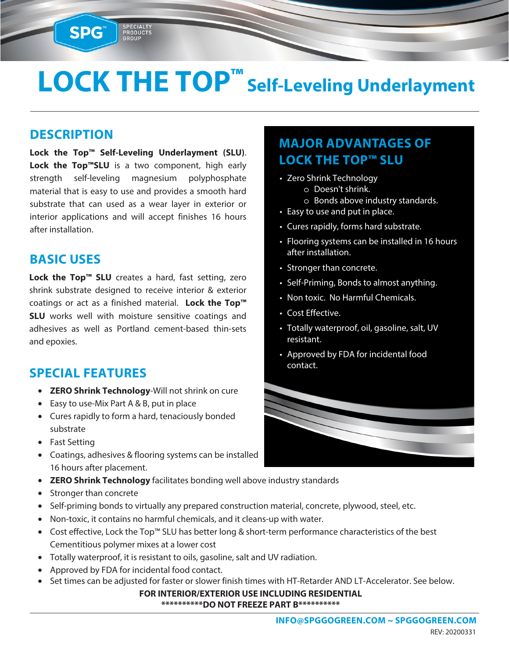# **LOCK THE TOP™ Self-Leveling Underlayment**

#### **DESCRIPTION**

**SPG™** 

**Lock the Top™ Self-Leveling Underlayment (SLU)**. **Lock the Top™SLU** is a two component, high early strength self-leveling magnesium polyphosphate material that is easy to use and provides a smooth hard substrate that can used as a wear layer in exterior or interior applications and will accept finishes 16 hours after installation.

SPECIALIT<br>PRODUCTS<br>GROUP

#### **BASIC USES**

**Lock the Top™ SLU** creates a hard, fast setting, zero shrink substrate designed to receive interior & exterior coatings or act as a finished material. **Lock the Top™ SLU** works well with moisture sensitive coatings and adhesives as well as Portland cement-based thin-sets and epoxies.

#### **SPECIAL FEATURES**

- **ZERO Shrink Technology**-Will not shrink on cure
- Easy to use-Mix Part A & B, put in place
- Cures rapidly to form a hard, tenaciously bonded substrate
- Fast Setting
- Coatings, adhesives & flooring systems can be installed 16 hours after placement.
- **ZERO Shrink Technology** facilitates bonding well above industry standards
- Stronger than concrete
- Self-priming bonds to virtually any prepared construction material, concrete, plywood, steel, etc.
- Non-toxic, it contains no harmful chemicals, and it cleans-up with water.
- Cost effective, Lock the Top™ SLU has better long & short-term performance characteristics of the best Cementitious polymer mixes at a lower cost
- Totally waterproof, it is resistant to oils, gasoline, salt and UV radiation.
- Approved by FDA for incidental food contact.
- Set times can be adjusted for faster or slower finish times with HT-Retarder AND LT-Accelerator. See below.

**FOR INTERIOR/EXTERIOR USE INCLUDING RESIDENTIAL \*\*\*\*\*\*\*\*\*\*DO NOT FREEZE PART B\*\*\*\*\*\*\*\*\*\***

### **MAJOR ADVANTAGES OF LOCK THE TOP™ SLU**

- Zero Shrink Technology o Doesn't shrink.
	- o Bonds above industry standards.
- Easy to use and put in place.
- Cures rapidly, forms hard substrate.
- Flooring systems can be installed in 16 hours after installation.
- Stronger than concrete.
- Self-Priming, Bonds to almost anything.
- Non toxic. No Harmful Chemicals.
- Cost Effective.
- Totally waterproof, oil, gasoline, salt, UV resistant.
- Approved by FDA for incidental food contact.

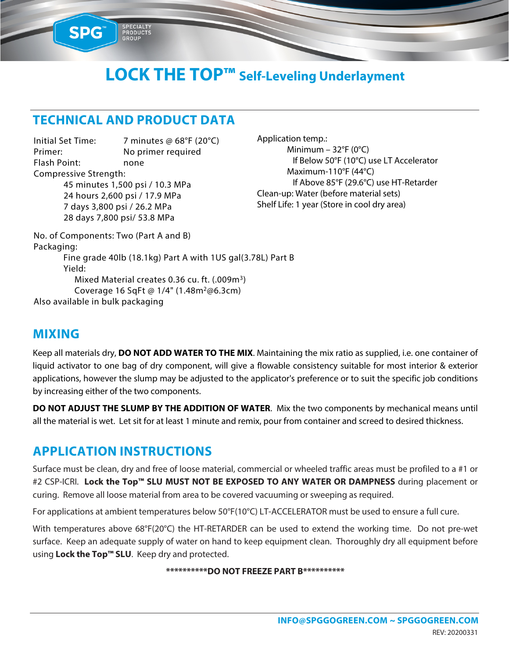## **LOCK THE TOP™ Self-Leveling Underlayment**

#### **TECHNICAL AND PRODUCT DATA**

PRODUCTS

SPG

Initial Set Time: 7 minutes @ 68°F (20°C) Primer: No primer required Flash Point: none Compressive Strength: 45 minutes 1,500 psi / 10.3 MPa 24 hours 2,600 psi / 17.9 MPa 7 days 3,800 psi / 26.2 MPa 28 days 7,800 psi/ 53.8 MPa

Application temp.: Minimum –  $32^{\circ}F(0^{\circ}C)$  If Below 50°F (10°C) use LT Accelerator Maximum-110°F (44°C) If Above 85°F (29.6°C) use HT-Retarder Clean-up: Water (before material sets) Shelf Life: 1 year (Store in cool dry area)

No. of Components: Two (Part A and B) Packaging: Fine grade 40lb (18.1kg) Part A with 1US gal(3.78L) Part B Yield: Mixed Material creates 0.36 cu. ft. (.009m<sup>3</sup>) Coverage 16 SqFt @ 1/4" (1.48m<sup>2</sup>@6.3cm) Also available in bulk packaging

#### **MIXING**

Keep all materials dry, **DO NOT ADD WATER TO THE MIX**. Maintaining the mix ratio as supplied, i.e. one container of liquid activator to one bag of dry component, will give a flowable consistency suitable for most interior & exterior applications, however the slump may be adjusted to the applicator's preference or to suit the specific job conditions by increasing either of the two components.

**DO NOT ADJUST THE SLUMP BY THE ADDITION OF WATER**. Mix the two components by mechanical means until all the material is wet. Let sit for at least 1 minute and remix, pour from container and screed to desired thickness.

#### **APPLICATION INSTRUCTIONS**

Surface must be clean, dry and free of loose material, commercial or wheeled traffic areas must be profiled to a #1 or #2 CSP-ICRI. **Lock the Top™ SLU MUST NOT BE EXPOSED TO ANY WATER OR DAMPNESS** during placement or curing. Remove all loose material from area to be covered vacuuming or sweeping as required.

For applications at ambient temperatures below 50°F(10°C) LT-ACCELERATOR must be used to ensure a full cure.

With temperatures above 68°F(20°C) the HT-RETARDER can be used to extend the working time. Do not pre-wet surface. Keep an adequate supply of water on hand to keep equipment clean. Thoroughly dry all equipment before using **Lock the Top™ SLU**. Keep dry and protected.

#### **\*\*\*\*\*\*\*\*\*\*DO NOT FREEZE PART B\*\*\*\*\*\*\*\*\*\***